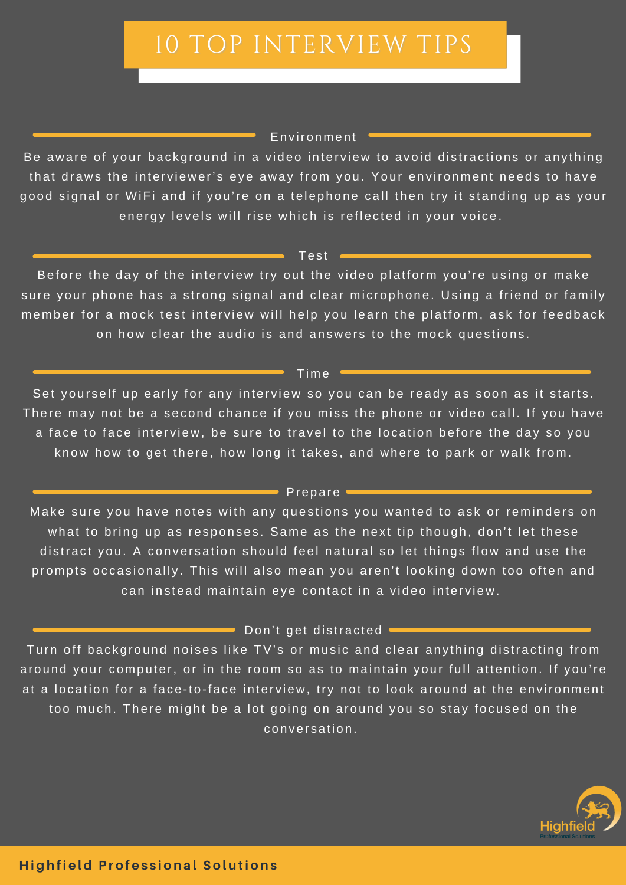# 10 TOP INTERVIEW TIPS

## Environment

Be aware of your background in a video interview to avoid distractions or anything that draws the interviewer's eye away from you. Your environment needs to have good signal or WiFi and if you're on a telephone call then try it standing up as your energy levels will rise which is reflected in your voice.

#### Test  $\blacksquare$

Before the day of the interview try out the video platform you're using or make sure your phone has a strong signal and clear microphone. Using a friend or family member for a mock test interview will help you learn the platform, ask for feedback on how clear the audio is and answers to the mock questions.

## $\_Time$   $-$

Set yourself up early for any interview so you can be ready as soon as it starts. There may not be a second chance if you miss the phone or video call. If you have a face to face interview, be sure to travel to the location before the day so you know how to get there, how long it takes, and where to park or walk from.

## $\blacksquare$  Prepare  $\blacksquare$

Make sure you have notes with any questions you wanted to ask or reminders on what to bring up as responses. Same as the next tip though, don't let these distract you. A conversation should feel natural so let things flow and use the prompts occasionally. This will also mean you aren't looking down too often and can instead maintain eye contact in a video interview.

 $\blacksquare$  Don't get distracted  $\blacksquare$ 

Turn off background noises like TV's or music and clear anything distracting from around your computer, or in the room so as to maintain your full attention. If you're at a location for a face-to-face interview, try not to look around at the environment too much. There might be a lot going on around you so stay focused on the conversation.